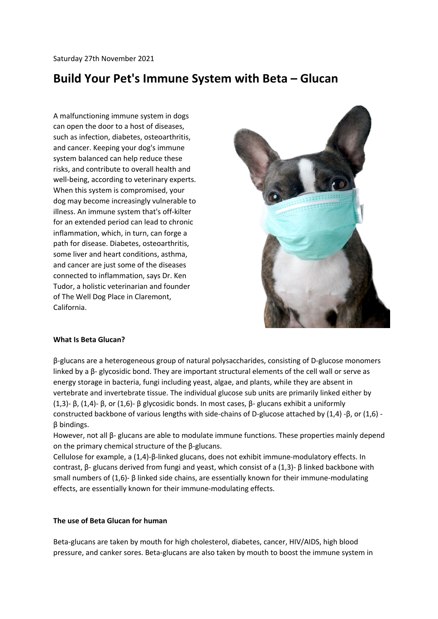# **Build Your Pet's Immune System with Beta – Glucan**

A malfunctioning immune system in dogs can open the door to a host of diseases, such as infection, diabetes, osteoarthritis, and cancer. Keeping your dog's immune system balanced can help reduce these risks, and contribute to overall health and well-being, according to veterinary experts. When this system is compromised, your dog may become increasingly vulnerable to illness. An immune system that's off-kilter for an extended period can lead to chronic inflammation, which, in turn, can forge a path for disease. Diabetes, osteoarthritis, some liver and heart conditions, asthma, and cancer are just some of the diseases connected to inflammation, says Dr. Ken Tudor, a holistic veterinarian and founder of The Well Dog Place in Claremont, California.



# **What Is Beta Glucan?**

β-glucans are a heterogeneous group of natural polysaccharides, consisting of D-glucose monomers linked by a β- glycosidic bond. They are important structural elements of the cell wall or serve as energy storage in bacteria, fungi including yeast, algae, and plants, while they are absent in vertebrate and invertebrate tissue. The individual glucose sub units are primarily linked either by (1,3)- β, (1,4)- β, or (1,6)- β glycosidic bonds. In most cases, β- glucans exhibit a uniformly constructed backbone of various lengths with side-chains of D-glucose attached by (1,4) -β, or (1,6) β bindings.

However, not all β- glucans are able to modulate immune functions. These properties mainly depend on the primary chemical structure of the β-glucans.

Cellulose for example, a (1,4)-β-linked glucans, does not exhibit immune-modulatory effects. In contrast, β- glucans derived from fungi and yeast, which consist of a (1,3)- β linked backbone with small numbers of (1,6)- β linked side chains, are essentially known for their immune-modulating effects, are essentially known for their immune-modulating effects.

# **The use of Beta Glucan for human**

Beta-glucans are taken by mouth for high cholesterol, diabetes, cancer, HIV/AIDS, high blood pressure, and canker sores. Beta-glucans are also taken by mouth to boost the immune system in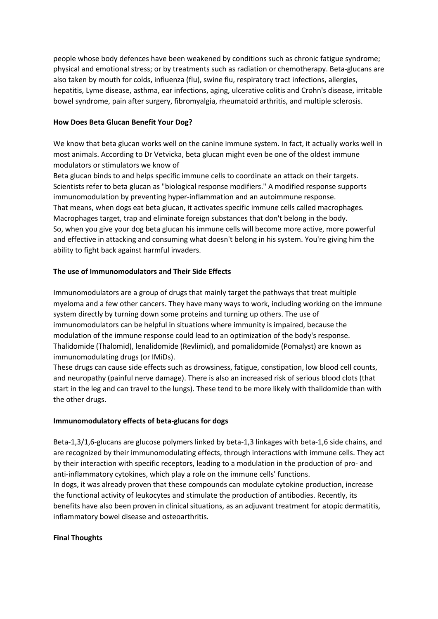people whose body defences have been weakened by conditions such as chronic fatigue syndrome; physical and emotional stress; or by treatments such as radiation or chemotherapy. Beta-glucans are also taken by mouth for colds, influenza (flu), swine flu, respiratory tract infections, allergies, hepatitis, Lyme disease, asthma, ear infections, aging, ulcerative colitis and Crohn's disease, irritable bowel syndrome, pain after surgery, fibromyalgia, rheumatoid arthritis, and multiple sclerosis.

# **How Does Beta Glucan Benefit Your Dog?**

We know that beta glucan works well on the canine immune system. In fact, it actually works well in most animals. According to Dr Vetvicka, beta glucan might even be one of the oldest immune modulators or stimulators we know of

Beta glucan binds to and helps specific immune cells to coordinate an attack on their targets. Scientists refer to beta glucan as "biological response modifiers." A modified response supports immunomodulation by preventing hyper-inflammation and an autoimmune response. That means, when dogs eat beta glucan, it activates specific immune cells called macrophages. Macrophages target, trap and eliminate foreign substances that don't belong in the body. So, when you give your dog beta glucan his immune cells will become more active, more powerful and effective in attacking and consuming what doesn't belong in his system. You're giving him the ability to fight back against harmful invaders.

# **The use of Immunomodulators and Their Side Effects**

Immunomodulators are a group of drugs that mainly target the pathways that treat multiple myeloma and a few other cancers. They have many ways to work, including working on the immune system directly by turning down some proteins and turning up others. The use of immunomodulators can be helpful in situations where immunity is impaired, because the modulation of the immune response could lead to an optimization of the body's response. Thalidomide (Thalomid), lenalidomide (Revlimid), and pomalidomide (Pomalyst) are known as immunomodulating drugs (or IMiDs).

These drugs can cause side effects such as drowsiness, fatigue, constipation, low blood cell counts, and neuropathy (painful nerve damage). There is also an increased risk of serious blood clots (that start in the leg and can travel to the lungs). These tend to be more likely with thalidomide than with the other drugs.

# **Immunomodulatory effects of beta-glucans for dogs**

Beta-1,3/1,6-glucans are glucose polymers linked by beta-1,3 linkages with beta-1,6 side chains, and are recognized by their immunomodulating effects, through interactions with immune cells. They act by their interaction with specific receptors, leading to a modulation in the production of pro- and anti-inflammatory cytokines, which play a role on the immune cells' functions. In dogs, it was already proven that these compounds can modulate cytokine production, increase the functional activity of leukocytes and stimulate the production of antibodies. Recently, its benefits have also been proven in clinical situations, as an adjuvant treatment for atopic dermatitis, inflammatory bowel disease and osteoarthritis.

# **Final Thoughts**